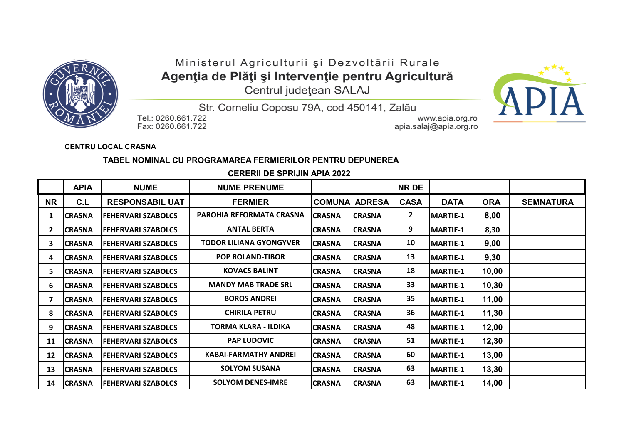

## Ministerul Agriculturii și Dezvoltării Rurale Agenția de Plăți și Intervenție pentru Agricultură

Centrul județean SALAJ



Str. Corneliu Coposu 79A, cod 450141, Zalău

Tel.: 0260.661.722 Fax: 0260.661.722

www.apia.org.ro apia.salaj@apia.org.ro

**CENTRU LOCAL CRASNA**

## **TABEL NOMINAL CU PROGRAMAREA FERMIERILOR PENTRU DEPUNEREA**

 **CERERII DE SPRIJIN APIA 2022**

|              | <b>APIA</b>    | <b>NUME</b>                | <b>NUME PRENUME</b>             |                |               | <b>NR DE</b> |                  |            |                  |
|--------------|----------------|----------------------------|---------------------------------|----------------|---------------|--------------|------------------|------------|------------------|
| <b>NR</b>    | C.L            | <b>RESPONSABIL UAT</b>     | <b>FERMIER</b>                  | <b>COMUNA</b>  | <b>ADRESA</b> | <b>CASA</b>  | <b>DATA</b>      | <b>ORA</b> | <b>SEMNATURA</b> |
|              | <b>CRASNA</b>  | <b>FEHERVARI SZABOLCS</b>  | <b>PAROHIA REFORMATA CRASNA</b> | <b>CRASNA</b>  | <b>CRASNA</b> | $\mathbf{2}$ | <b>MARTIE-1</b>  | 8,00       |                  |
| $\mathbf{2}$ | <b>CRASNA</b>  | <b>FEHERVARI SZABOLCS</b>  | <b>ANTAL BERTA</b>              | <b>ICRASNA</b> | <b>CRASNA</b> | 9            | <b>MARTIE-1</b>  | 8,30       |                  |
| 3            | <b>CRASNA</b>  | <b>FEHERVARI SZABOLCS</b>  | TODOR LILIANA GYONGYVER         | <b>CRASNA</b>  | <b>CRASNA</b> | 10           | <b>MARTIE-1</b>  | 9,00       |                  |
| 4            | <b>CRASNA</b>  | <b>FEHERVARI SZABOLCS</b>  | <b>POP ROLAND-TIBOR</b>         | <b>CRASNA</b>  | <b>CRASNA</b> | 13           | <b>MARTIE-1</b>  | 9,30       |                  |
| 5.           | <b>CRASNA</b>  | <b>FEHERVARI SZABOLCS</b>  | <b>KOVACS BALINT</b>            | <b>CRASNA</b>  | <b>CRASNA</b> | 18           | <b>MARTIE-1</b>  | 10,00      |                  |
| 6            | <b>CRASNA</b>  | <b>FEHERVARI SZABOLCS</b>  | <b>MANDY MAB TRADE SRL</b>      | CRASNA         | <b>CRASNA</b> | 33           | <b>MARTIE-1</b>  | 10,30      |                  |
|              | <b>CRASNA</b>  | <b>FEHERVARI SZABOLCS</b>  | <b>BOROS ANDREI</b>             | CRASNA         | <b>CRASNA</b> | 35           | <b>MARTIE-1</b>  | 11,00      |                  |
| 8            | <b>CRASNA</b>  | <b>FEHERVARI SZABOLCS</b>  | <b>CHIRILA PETRU</b>            | <b>CRASNA</b>  | <b>CRASNA</b> | 36           | <b>MARTIE-1</b>  | 11,30      |                  |
| 9            | <b>CRASNA</b>  | <b>FEHERVARI SZABOLCS</b>  | TORMA KLARA - ILDIKA            | <b>CRASNA</b>  | <b>CRASNA</b> | 48           | MARTIE-1         | 12,00      |                  |
| 11           | <b>ICRASNA</b> | <b>FEHERVARI SZABOLCS</b>  | <b>PAP LUDOVIC</b>              | <b>ICRASNA</b> | <b>CRASNA</b> | 51           | <b>IMARTIE-1</b> | 12,30      |                  |
| 12           | <b>ICRASNA</b> | <b>IFEHERVARI SZABOLCS</b> | <b>KABAI-FARMATHY ANDREI</b>    | <b>ICRASNA</b> | <b>CRASNA</b> | 60           | <b>MARTIE-1</b>  | 13,00      |                  |
| 13           | <b>CRASNA</b>  | <b>FEHERVARI SZABOLCS</b>  | <b>SOLYOM SUSANA</b>            | <b>CRASNA</b>  | <b>CRASNA</b> | 63           | <b>MARTIE-1</b>  | 13,30      |                  |
| 14           | <b>CRASNA</b>  | <b>FEHERVARI SZABOLCS</b>  | <b>SOLYOM DENES-IMRE</b>        | <b>CRASNA</b>  | <b>CRASNA</b> | 63           | <b>MARTIE-1</b>  | 14,00      |                  |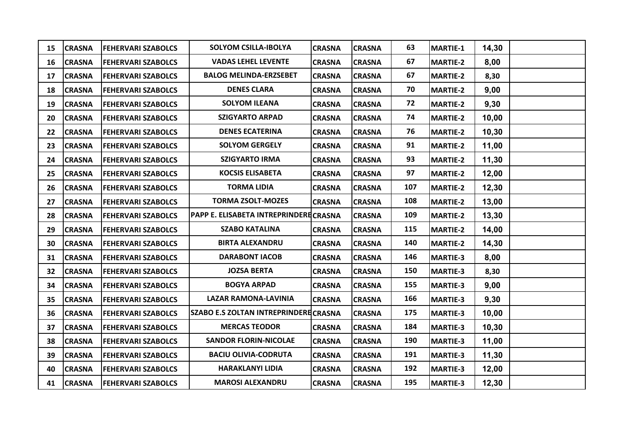| 15 | <b>CRASNA</b> | <b>FEHERVARI SZABOLCS</b> | <b>SOLYOM CSILLA-IBOLYA</b>           | <b>CRASNA</b> | <b>CRASNA</b> | 63  | MARTIE-1        | 14,30  |  |
|----|---------------|---------------------------|---------------------------------------|---------------|---------------|-----|-----------------|--------|--|
| 16 | <b>CRASNA</b> | <b>FEHERVARI SZABOLCS</b> | <b>VADAS LEHEL LEVENTE</b>            | <b>CRASNA</b> | <b>CRASNA</b> | 67  | <b>MARTIE-2</b> | 8,00   |  |
| 17 | <b>CRASNA</b> | <b>FEHERVARI SZABOLCS</b> | <b>BALOG MELINDA-ERZSEBET</b>         | <b>CRASNA</b> | <b>CRASNA</b> | 67  | MARTIE-2        | 8,30   |  |
| 18 | <b>CRASNA</b> | <b>FEHERVARI SZABOLCS</b> | <b>DENES CLARA</b>                    | <b>CRASNA</b> | <b>CRASNA</b> | 70  | <b>MARTIE-2</b> | 9,00   |  |
| 19 | <b>CRASNA</b> | <b>FEHERVARI SZABOLCS</b> | <b>SOLYOM ILEANA</b>                  | <b>CRASNA</b> | <b>CRASNA</b> | 72  | <b>MARTIE-2</b> | 9,30   |  |
| 20 | <b>CRASNA</b> | <b>FEHERVARI SZABOLCS</b> | <b>SZIGYARTO ARPAD</b>                | <b>CRASNA</b> | <b>CRASNA</b> | 74  | <b>MARTIE-2</b> | 10,00  |  |
| 22 | <b>CRASNA</b> | <b>FEHERVARI SZABOLCS</b> | <b>DENES ECATERINA</b>                | <b>CRASNA</b> | <b>CRASNA</b> | 76  | MARTIE-2        | 10, 30 |  |
| 23 | <b>CRASNA</b> | <b>FEHERVARI SZABOLCS</b> | <b>SOLYOM GERGELY</b>                 | <b>CRASNA</b> | <b>CRASNA</b> | 91  | <b>MARTIE-2</b> | 11,00  |  |
| 24 | <b>CRASNA</b> | <b>FEHERVARI SZABOLCS</b> | <b>SZIGYARTO IRMA</b>                 | <b>CRASNA</b> | <b>CRASNA</b> | 93  | MARTIE-2        | 11,30  |  |
| 25 | <b>CRASNA</b> | <b>FEHERVARI SZABOLCS</b> | <b>KOCSIS ELISABETA</b>               | <b>CRASNA</b> | <b>CRASNA</b> | 97  | <b>MARTIE-2</b> | 12,00  |  |
| 26 | <b>CRASNA</b> | <b>FEHERVARI SZABOLCS</b> | <b>TORMA LIDIA</b>                    | <b>CRASNA</b> | <b>CRASNA</b> | 107 | <b>MARTIE-2</b> | 12,30  |  |
| 27 | <b>CRASNA</b> | <b>FEHERVARI SZABOLCS</b> | <b>TORMA ZSOLT-MOZES</b>              | <b>CRASNA</b> | <b>CRASNA</b> | 108 | <b>MARTIE-2</b> | 13,00  |  |
| 28 | <b>CRASNA</b> | <b>FEHERVARI SZABOLCS</b> | PAPP E. ELISABETA INTREPRINDERECRASNA |               | <b>CRASNA</b> | 109 | <b>MARTIE-2</b> | 13,30  |  |
| 29 | <b>CRASNA</b> | <b>FEHERVARI SZABOLCS</b> | <b>SZABO KATALINA</b>                 | <b>CRASNA</b> | <b>CRASNA</b> | 115 | <b>MARTIE-2</b> | 14,00  |  |
| 30 | <b>CRASNA</b> | <b>FEHERVARI SZABOLCS</b> | <b>BIRTA ALEXANDRU</b>                | <b>CRASNA</b> | <b>CRASNA</b> | 140 | <b>MARTIE-2</b> | 14,30  |  |
| 31 | <b>CRASNA</b> | <b>FEHERVARI SZABOLCS</b> | <b>DARABONT IACOB</b>                 | <b>CRASNA</b> | <b>CRASNA</b> | 146 | MARTIE-3        | 8,00   |  |
| 32 | <b>CRASNA</b> | <b>FEHERVARI SZABOLCS</b> | <b>JOZSA BERTA</b>                    | <b>CRASNA</b> | <b>CRASNA</b> | 150 | <b>MARTIE-3</b> | 8,30   |  |
| 34 | <b>CRASNA</b> | <b>FEHERVARI SZABOLCS</b> | <b>BOGYA ARPAD</b>                    | <b>CRASNA</b> | <b>CRASNA</b> | 155 | <b>MARTIE-3</b> | 9,00   |  |
| 35 | <b>CRASNA</b> | <b>FEHERVARI SZABOLCS</b> | <b>LAZAR RAMONA-LAVINIA</b>           | <b>CRASNA</b> | <b>CRASNA</b> | 166 | <b>MARTIE-3</b> | 9,30   |  |
| 36 | <b>CRASNA</b> | <b>FEHERVARI SZABOLCS</b> | SZABO E.S ZOLTAN INTREPRINDERECRASNA  |               | <b>CRASNA</b> | 175 | <b>MARTIE-3</b> | 10,00  |  |
| 37 | <b>CRASNA</b> | <b>FEHERVARI SZABOLCS</b> | <b>MERCAS TEODOR</b>                  | <b>CRASNA</b> | <b>CRASNA</b> | 184 | <b>MARTIE-3</b> | 10,30  |  |
| 38 | <b>CRASNA</b> | <b>FEHERVARI SZABOLCS</b> | <b>SANDOR FLORIN-NICOLAE</b>          | <b>CRASNA</b> | <b>CRASNA</b> | 190 | <b>MARTIE-3</b> | 11,00  |  |
| 39 | <b>CRASNA</b> | <b>FEHERVARI SZABOLCS</b> | <b>BACIU OLIVIA-CODRUTA</b>           | <b>CRASNA</b> | <b>CRASNA</b> | 191 | <b>MARTIE-3</b> | 11,30  |  |
| 40 | <b>CRASNA</b> | <b>FEHERVARI SZABOLCS</b> | <b>HARAKLANYI LIDIA</b>               | <b>CRASNA</b> | <b>CRASNA</b> | 192 | <b>MARTIE-3</b> | 12,00  |  |
| 41 | <b>CRASNA</b> | <b>FEHERVARI SZABOLCS</b> | <b>MAROSI ALEXANDRU</b>               | <b>CRASNA</b> | <b>CRASNA</b> | 195 | <b>MARTIE-3</b> | 12,30  |  |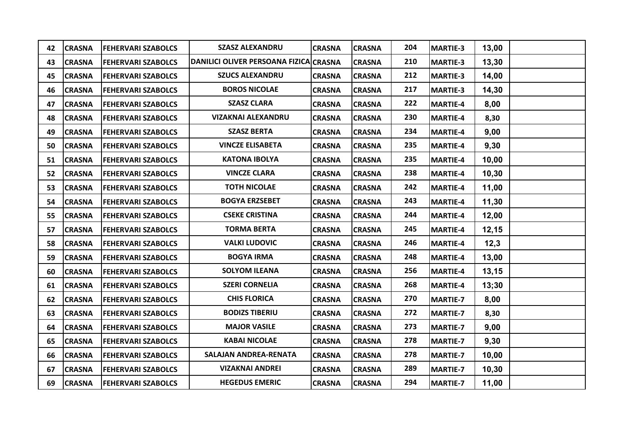| 42 | <b>CRASNA</b> | <b>FEHERVARI SZABOLCS</b> | <b>SZASZ ALEXANDRU</b>                 | <b>CRASNA</b> | <b>CRASNA</b> | 204 | MARTIE-3        | 13,00  |  |
|----|---------------|---------------------------|----------------------------------------|---------------|---------------|-----|-----------------|--------|--|
| 43 | <b>CRASNA</b> | <b>FEHERVARI SZABOLCS</b> | DANILICI OLIVER PERSOANA FIZICA CRASNA |               | <b>CRASNA</b> | 210 | MARTIE-3        | 13,30  |  |
| 45 | <b>CRASNA</b> | <b>FEHERVARI SZABOLCS</b> | <b>SZUCS ALEXANDRU</b>                 | <b>CRASNA</b> | <b>CRASNA</b> | 212 | MARTIE-3        | 14,00  |  |
| 46 | <b>CRASNA</b> | <b>FEHERVARI SZABOLCS</b> | <b>BOROS NICOLAE</b>                   | <b>CRASNA</b> | <b>CRASNA</b> | 217 | <b>MARTIE-3</b> | 14,30  |  |
| 47 | <b>CRASNA</b> | <b>FEHERVARI SZABOLCS</b> | <b>SZASZ CLARA</b>                     | <b>CRASNA</b> | <b>CRASNA</b> | 222 | MARTIE-4        | 8,00   |  |
| 48 | <b>CRASNA</b> | <b>FEHERVARI SZABOLCS</b> | <b>VIZAKNAI ALEXANDRU</b>              | <b>CRASNA</b> | <b>CRASNA</b> | 230 | MARTIE-4        | 8,30   |  |
| 49 | <b>CRASNA</b> | <b>FEHERVARI SZABOLCS</b> | <b>SZASZ BERTA</b>                     | <b>CRASNA</b> | <b>CRASNA</b> | 234 | MARTIE-4        | 9,00   |  |
| 50 | <b>CRASNA</b> | <b>FEHERVARI SZABOLCS</b> | <b>VINCZE ELISABETA</b>                | <b>CRASNA</b> | <b>CRASNA</b> | 235 | MARTIE-4        | 9,30   |  |
| 51 | <b>CRASNA</b> | <b>FEHERVARI SZABOLCS</b> | <b>KATONA IBOLYA</b>                   | <b>CRASNA</b> | <b>CRASNA</b> | 235 | MARTIE-4        | 10,00  |  |
| 52 | <b>CRASNA</b> | <b>FEHERVARI SZABOLCS</b> | <b>VINCZE CLARA</b>                    | <b>CRASNA</b> | <b>CRASNA</b> | 238 | MARTIE-4        | 10, 30 |  |
| 53 | <b>CRASNA</b> | <b>FEHERVARI SZABOLCS</b> | <b>TOTH NICOLAE</b>                    | <b>CRASNA</b> | <b>CRASNA</b> | 242 | MARTIE-4        | 11,00  |  |
| 54 | <b>CRASNA</b> | <b>FEHERVARI SZABOLCS</b> | <b>BOGYA ERZSEBET</b>                  | <b>CRASNA</b> | <b>CRASNA</b> | 243 | MARTIE-4        | 11,30  |  |
| 55 | <b>CRASNA</b> | <b>FEHERVARI SZABOLCS</b> | <b>CSEKE CRISTINA</b>                  | <b>CRASNA</b> | <b>CRASNA</b> | 244 | MARTIE-4        | 12,00  |  |
| 57 | <b>CRASNA</b> | <b>FEHERVARI SZABOLCS</b> | <b>TORMA BERTA</b>                     | <b>CRASNA</b> | <b>CRASNA</b> | 245 | MARTIE-4        | 12, 15 |  |
| 58 | <b>CRASNA</b> | <b>FEHERVARI SZABOLCS</b> | <b>VALKI LUDOVIC</b>                   | <b>CRASNA</b> | <b>CRASNA</b> | 246 | MARTIE-4        | 12,3   |  |
| 59 | <b>CRASNA</b> | <b>FEHERVARI SZABOLCS</b> | <b>BOGYA IRMA</b>                      | <b>CRASNA</b> | <b>CRASNA</b> | 248 | MARTIE-4        | 13,00  |  |
| 60 | <b>CRASNA</b> | <b>FEHERVARI SZABOLCS</b> | <b>SOLYOM ILEANA</b>                   | <b>CRASNA</b> | <b>CRASNA</b> | 256 | MARTIE-4        | 13,15  |  |
| 61 | <b>CRASNA</b> | <b>FEHERVARI SZABOLCS</b> | <b>SZERI CORNELIA</b>                  | <b>CRASNA</b> | <b>CRASNA</b> | 268 | MARTIE-4        | 13;30  |  |
| 62 | <b>CRASNA</b> | <b>FEHERVARI SZABOLCS</b> | <b>CHIS FLORICA</b>                    | <b>CRASNA</b> | <b>CRASNA</b> | 270 | <b>MARTIE-7</b> | 8,00   |  |
| 63 | <b>CRASNA</b> | <b>FEHERVARI SZABOLCS</b> | <b>BODIZS TIBERIU</b>                  | <b>CRASNA</b> | <b>CRASNA</b> | 272 | <b>MARTIE-7</b> | 8,30   |  |
| 64 | <b>CRASNA</b> | <b>FEHERVARI SZABOLCS</b> | <b>MAJOR VASILE</b>                    | <b>CRASNA</b> | <b>CRASNA</b> | 273 | MARTIE-7        | 9,00   |  |
| 65 | <b>CRASNA</b> | <b>FEHERVARI SZABOLCS</b> | <b>KABAI NICOLAE</b>                   | <b>CRASNA</b> | <b>CRASNA</b> | 278 | MARTIE-7        | 9,30   |  |
| 66 | <b>CRASNA</b> | <b>FEHERVARI SZABOLCS</b> | SALAJAN ANDREA-RENATA                  | <b>CRASNA</b> | <b>CRASNA</b> | 278 | MARTIE-7        | 10,00  |  |
| 67 | <b>CRASNA</b> | <b>FEHERVARI SZABOLCS</b> | <b>VIZAKNAI ANDREI</b>                 | <b>CRASNA</b> | <b>CRASNA</b> | 289 | MARTIE-7        | 10,30  |  |
| 69 | <b>CRASNA</b> | <b>FEHERVARI SZABOLCS</b> | <b>HEGEDUS EMERIC</b>                  | <b>CRASNA</b> | <b>CRASNA</b> | 294 | <b>MARTIE-7</b> | 11,00  |  |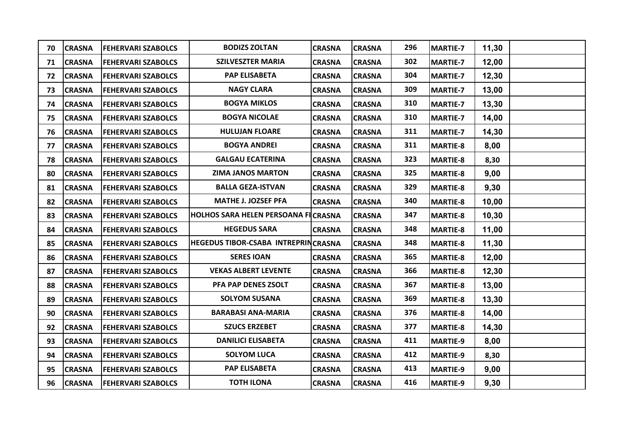| 70 | <b>CRASNA</b> | <b>FEHERVARI SZABOLCS</b> | <b>BODIZS ZOLTAN</b>                | <b>CRASNA</b> | <b>CRASNA</b> | 296 | MARTIE-7        | 11,30 |  |
|----|---------------|---------------------------|-------------------------------------|---------------|---------------|-----|-----------------|-------|--|
| 71 | <b>CRASNA</b> | <b>FEHERVARI SZABOLCS</b> | <b>SZILVESZTER MARIA</b>            | <b>CRASNA</b> | <b>CRASNA</b> | 302 | MARTIE-7        | 12,00 |  |
| 72 | <b>CRASNA</b> | <b>FEHERVARI SZABOLCS</b> | <b>PAP ELISABETA</b>                | <b>CRASNA</b> | <b>CRASNA</b> | 304 | MARTIE-7        | 12,30 |  |
| 73 | <b>CRASNA</b> | <b>FEHERVARI SZABOLCS</b> | <b>NAGY CLARA</b>                   | <b>CRASNA</b> | <b>CRASNA</b> | 309 | MARTIE-7        | 13,00 |  |
| 74 | <b>CRASNA</b> | <b>FEHERVARI SZABOLCS</b> | <b>BOGYA MIKLOS</b>                 | <b>CRASNA</b> | <b>CRASNA</b> | 310 | <b>MARTIE-7</b> | 13,30 |  |
| 75 | <b>CRASNA</b> | <b>FEHERVARI SZABOLCS</b> | <b>BOGYA NICOLAE</b>                | <b>CRASNA</b> | <b>CRASNA</b> | 310 | <b>MARTIE-7</b> | 14,00 |  |
| 76 | <b>CRASNA</b> | <b>FEHERVARI SZABOLCS</b> | <b>HULUJAN FLOARE</b>               | <b>CRASNA</b> | <b>CRASNA</b> | 311 | <b>MARTIE-7</b> | 14,30 |  |
| 77 | <b>CRASNA</b> | <b>FEHERVARI SZABOLCS</b> | <b>BOGYA ANDREI</b>                 | <b>CRASNA</b> | <b>CRASNA</b> | 311 | MARTIE-8        | 8,00  |  |
| 78 | <b>CRASNA</b> | <b>FEHERVARI SZABOLCS</b> | <b>GALGAU ECATERINA</b>             | <b>CRASNA</b> | <b>CRASNA</b> | 323 | MARTIE-8        | 8,30  |  |
| 80 | <b>CRASNA</b> | <b>FEHERVARI SZABOLCS</b> | <b>ZIMA JANOS MARTON</b>            | <b>CRASNA</b> | <b>CRASNA</b> | 325 | MARTIE-8        | 9,00  |  |
| 81 | <b>CRASNA</b> | <b>FEHERVARI SZABOLCS</b> | <b>BALLA GEZA-ISTVAN</b>            | <b>CRASNA</b> | <b>CRASNA</b> | 329 | MARTIE-8        | 9,30  |  |
| 82 | <b>CRASNA</b> | <b>FEHERVARI SZABOLCS</b> | <b>MATHE J. JOZSEF PFA</b>          | <b>CRASNA</b> | <b>CRASNA</b> | 340 | MARTIE-8        | 10,00 |  |
| 83 | <b>CRASNA</b> | <b>FEHERVARI SZABOLCS</b> | HOLHOS SARA HELEN PERSOANA FICRASNA |               | <b>CRASNA</b> | 347 | <b>MARTIE-8</b> | 10,30 |  |
| 84 | <b>CRASNA</b> | <b>FEHERVARI SZABOLCS</b> | <b>HEGEDUS SARA</b>                 | <b>CRASNA</b> | <b>CRASNA</b> | 348 | MARTIE-8        | 11,00 |  |
| 85 | <b>CRASNA</b> | <b>FEHERVARI SZABOLCS</b> | HEGEDUS TIBOR-CSABA INTREPRINCRASNA |               | <b>CRASNA</b> | 348 | <b>MARTIE-8</b> | 11,30 |  |
| 86 | <b>CRASNA</b> | <b>FEHERVARI SZABOLCS</b> | <b>SERES IOAN</b>                   | <b>CRASNA</b> | <b>CRASNA</b> | 365 | <b>MARTIE-8</b> | 12,00 |  |
| 87 | <b>CRASNA</b> | <b>FEHERVARI SZABOLCS</b> | <b>VEKAS ALBERT LEVENTE</b>         | <b>CRASNA</b> | <b>CRASNA</b> | 366 | <b>MARTIE-8</b> | 12,30 |  |
| 88 | <b>CRASNA</b> | <b>FEHERVARI SZABOLCS</b> | PFA PAP DENES ZSOLT                 | <b>CRASNA</b> | <b>CRASNA</b> | 367 | MARTIE-8        | 13,00 |  |
| 89 | <b>CRASNA</b> | <b>FEHERVARI SZABOLCS</b> | <b>SOLYOM SUSANA</b>                | <b>CRASNA</b> | <b>CRASNA</b> | 369 | MARTIE-8        | 13,30 |  |
| 90 | <b>CRASNA</b> | <b>FEHERVARI SZABOLCS</b> | <b>BARABASI ANA-MARIA</b>           | <b>CRASNA</b> | <b>CRASNA</b> | 376 | MARTIE-8        | 14,00 |  |
| 92 | <b>CRASNA</b> | <b>FEHERVARI SZABOLCS</b> | <b>SZUCS ERZEBET</b>                | <b>CRASNA</b> | <b>CRASNA</b> | 377 | MARTIE-8        | 14,30 |  |
| 93 | <b>CRASNA</b> | <b>FEHERVARI SZABOLCS</b> | <b>DANILICI ELISABETA</b>           | <b>CRASNA</b> | <b>CRASNA</b> | 411 | MARTIE-9        | 8,00  |  |
| 94 | <b>CRASNA</b> | <b>FEHERVARI SZABOLCS</b> | <b>SOLYOM LUCA</b>                  | <b>CRASNA</b> | <b>CRASNA</b> | 412 | MARTIE-9        | 8,30  |  |
| 95 | <b>CRASNA</b> | <b>FEHERVARI SZABOLCS</b> | <b>PAP ELISABETA</b>                | <b>CRASNA</b> | <b>CRASNA</b> | 413 | MARTIE-9        | 9,00  |  |
| 96 | <b>CRASNA</b> | <b>FEHERVARI SZABOLCS</b> | <b>TOTH ILONA</b>                   | <b>CRASNA</b> | <b>CRASNA</b> | 416 | MARTIE-9        | 9,30  |  |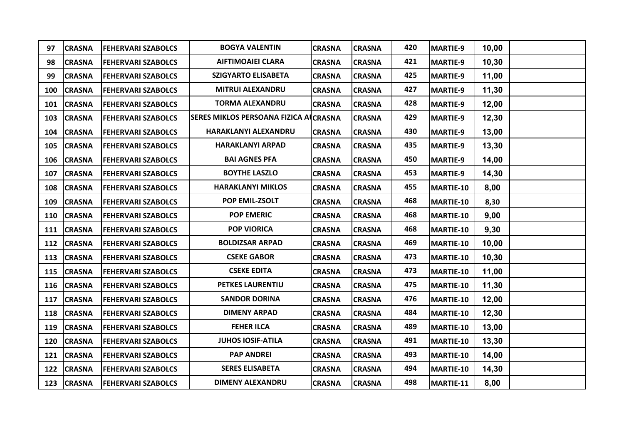| 97  | <b>CRASNA</b> | <b>FEHERVARI SZABOLCS</b> | <b>BOGYA VALENTIN</b>                 | <b>CRASNA</b> | <b>CRASNA</b> | 420 | MARTIE-9        | 10,00  |  |
|-----|---------------|---------------------------|---------------------------------------|---------------|---------------|-----|-----------------|--------|--|
| 98  | <b>CRASNA</b> | <b>FEHERVARI SZABOLCS</b> | <b>AIFTIMOAIEI CLARA</b>              | <b>CRASNA</b> | <b>CRASNA</b> | 421 | <b>MARTIE-9</b> | 10,30  |  |
| 99  | <b>CRASNA</b> | <b>FEHERVARI SZABOLCS</b> | <b>SZIGYARTO ELISABETA</b>            | <b>CRASNA</b> | <b>CRASNA</b> | 425 | <b>MARTIE-9</b> | 11,00  |  |
| 100 | <b>CRASNA</b> | <b>FEHERVARI SZABOLCS</b> | MITRUI ALEXANDRU                      | <b>CRASNA</b> | <b>CRASNA</b> | 427 | <b>MARTIE-9</b> | 11,30  |  |
| 101 | <b>CRASNA</b> | <b>FEHERVARI SZABOLCS</b> | <b>TORMA ALEXANDRU</b>                | <b>CRASNA</b> | <b>CRASNA</b> | 428 | <b>MARTIE-9</b> | 12,00  |  |
| 103 | <b>CRASNA</b> | <b>FEHERVARI SZABOLCS</b> | SERES MIKLOS PERSOANA FIZICA ALCRASNA |               | <b>CRASNA</b> | 429 | <b>MARTIE-9</b> | 12,30  |  |
| 104 | <b>CRASNA</b> | <b>FEHERVARI SZABOLCS</b> | HARAKLANYI ALEXANDRU                  | <b>CRASNA</b> | <b>CRASNA</b> | 430 | <b>MARTIE-9</b> | 13,00  |  |
| 105 | <b>CRASNA</b> | <b>FEHERVARI SZABOLCS</b> | <b>HARAKLANYI ARPAD</b>               | <b>CRASNA</b> | <b>CRASNA</b> | 435 | <b>MARTIE-9</b> | 13,30  |  |
| 106 | <b>CRASNA</b> | <b>FEHERVARI SZABOLCS</b> | <b>BAI AGNES PFA</b>                  | <b>CRASNA</b> | <b>CRASNA</b> | 450 | <b>MARTIE-9</b> | 14,00  |  |
| 107 | <b>CRASNA</b> | <b>FEHERVARI SZABOLCS</b> | <b>BOYTHE LASZLO</b>                  | <b>CRASNA</b> | <b>CRASNA</b> | 453 | <b>MARTIE-9</b> | 14,30  |  |
| 108 | <b>CRASNA</b> | <b>FEHERVARI SZABOLCS</b> | <b>HARAKLANYI MIKLOS</b>              | <b>CRASNA</b> | <b>CRASNA</b> | 455 | MARTIE-10       | 8,00   |  |
| 109 | <b>CRASNA</b> | <b>FEHERVARI SZABOLCS</b> | POP EMIL-ZSOLT                        | <b>CRASNA</b> | <b>CRASNA</b> | 468 | MARTIE-10       | 8,30   |  |
| 110 | <b>CRASNA</b> | <b>FEHERVARI SZABOLCS</b> | <b>POP EMERIC</b>                     | <b>CRASNA</b> | <b>CRASNA</b> | 468 | MARTIE-10       | 9,00   |  |
| 111 | <b>CRASNA</b> | <b>FEHERVARI SZABOLCS</b> | <b>POP VIORICA</b>                    | <b>CRASNA</b> | <b>CRASNA</b> | 468 | MARTIE-10       | 9,30   |  |
| 112 | <b>CRASNA</b> | <b>FEHERVARI SZABOLCS</b> | <b>BOLDIZSAR ARPAD</b>                | <b>CRASNA</b> | <b>CRASNA</b> | 469 | MARTIE-10       | 10,00  |  |
| 113 | <b>CRASNA</b> | <b>FEHERVARI SZABOLCS</b> | <b>CSEKE GABOR</b>                    | <b>CRASNA</b> | <b>CRASNA</b> | 473 | MARTIE-10       | 10, 30 |  |
| 115 | <b>CRASNA</b> | <b>FEHERVARI SZABOLCS</b> | <b>CSEKE EDITA</b>                    | <b>CRASNA</b> | <b>CRASNA</b> | 473 | MARTIE-10       | 11,00  |  |
| 116 | <b>CRASNA</b> | <b>FEHERVARI SZABOLCS</b> | PETKES LAURENTIU                      | <b>CRASNA</b> | <b>CRASNA</b> | 475 | MARTIE-10       | 11,30  |  |
| 117 | <b>CRASNA</b> | <b>FEHERVARI SZABOLCS</b> | <b>SANDOR DORINA</b>                  | <b>CRASNA</b> | <b>CRASNA</b> | 476 | MARTIE-10       | 12,00  |  |
| 118 | <b>CRASNA</b> | <b>FEHERVARI SZABOLCS</b> | <b>DIMENY ARPAD</b>                   | <b>CRASNA</b> | <b>CRASNA</b> | 484 | MARTIE-10       | 12,30  |  |
| 119 | <b>CRASNA</b> | <b>FEHERVARI SZABOLCS</b> | <b>FEHER ILCA</b>                     | <b>CRASNA</b> | <b>CRASNA</b> | 489 | MARTIE-10       | 13,00  |  |
| 120 | <b>CRASNA</b> | <b>FEHERVARI SZABOLCS</b> | <b>JUHOS IOSIF-ATILA</b>              | <b>CRASNA</b> | <b>CRASNA</b> | 491 | MARTIE-10       | 13,30  |  |
| 121 | <b>CRASNA</b> | <b>FEHERVARI SZABOLCS</b> | <b>PAP ANDREI</b>                     | <b>CRASNA</b> | <b>CRASNA</b> | 493 | MARTIE-10       | 14,00  |  |
| 122 | <b>CRASNA</b> | <b>FEHERVARI SZABOLCS</b> | <b>SERES ELISABETA</b>                | <b>CRASNA</b> | <b>CRASNA</b> | 494 | MARTIE-10       | 14,30  |  |
|     | 123 CRASNA    | <b>FEHERVARI SZABOLCS</b> | <b>DIMENY ALEXANDRU</b>               | <b>CRASNA</b> | <b>CRASNA</b> | 498 | MARTIE-11       | 8,00   |  |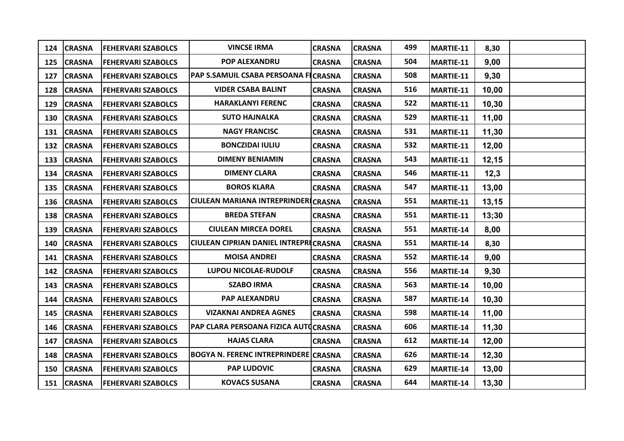| 124 | <b>CRASNA</b> | <b>FEHERVARI SZABOLCS</b> | <b>VINCSE IRMA</b>                          | <b>CRASNA</b> | <b>CRASNA</b> | 499 | MARTIE-11 | 8,30   |  |
|-----|---------------|---------------------------|---------------------------------------------|---------------|---------------|-----|-----------|--------|--|
| 125 | <b>CRASNA</b> | <b>FEHERVARI SZABOLCS</b> | POP ALEXANDRU                               | <b>CRASNA</b> | <b>CRASNA</b> | 504 | MARTIE-11 | 9,00   |  |
| 127 | <b>CRASNA</b> | <b>FEHERVARI SZABOLCS</b> | PAP S.SAMUIL CSABA PERSOANA FICRASNA        |               | <b>CRASNA</b> | 508 | MARTIE-11 | 9,30   |  |
| 128 | <b>CRASNA</b> | <b>FEHERVARI SZABOLCS</b> | <b>VIDER CSABA BALINT</b>                   | <b>CRASNA</b> | <b>CRASNA</b> | 516 | MARTIE-11 | 10,00  |  |
| 129 | <b>CRASNA</b> | <b>FEHERVARI SZABOLCS</b> | <b>HARAKLANYI FERENC</b>                    | <b>CRASNA</b> | <b>CRASNA</b> | 522 | MARTIE-11 | 10,30  |  |
| 130 | <b>CRASNA</b> | <b>FEHERVARI SZABOLCS</b> | <b>SUTO HAJNALKA</b>                        | <b>CRASNA</b> | <b>CRASNA</b> | 529 | MARTIE-11 | 11,00  |  |
| 131 | <b>CRASNA</b> | <b>FEHERVARI SZABOLCS</b> | <b>NAGY FRANCISC</b>                        | <b>CRASNA</b> | <b>CRASNA</b> | 531 | MARTIE-11 | 11,30  |  |
| 132 | <b>CRASNA</b> | <b>FEHERVARI SZABOLCS</b> | <b>BONCZIDAI IULIU</b>                      | <b>CRASNA</b> | <b>CRASNA</b> | 532 | MARTIE-11 | 12,00  |  |
| 133 | <b>CRASNA</b> | <b>FEHERVARI SZABOLCS</b> | <b>DIMENY BENIAMIN</b>                      | <b>CRASNA</b> | <b>CRASNA</b> | 543 | MARTIE-11 | 12,15  |  |
| 134 | <b>CRASNA</b> | <b>FEHERVARI SZABOLCS</b> | <b>DIMENY CLARA</b>                         | <b>CRASNA</b> | <b>CRASNA</b> | 546 | MARTIE-11 | 12,3   |  |
| 135 | <b>CRASNA</b> | <b>FEHERVARI SZABOLCS</b> | <b>BOROS KLARA</b>                          | <b>CRASNA</b> | <b>CRASNA</b> | 547 | MARTIE-11 | 13,00  |  |
| 136 | <b>CRASNA</b> | <b>FEHERVARI SZABOLCS</b> | CIULEAN MARIANA INTREPRINDERICRASNA         |               | <b>CRASNA</b> | 551 | MARTIE-11 | 13,15  |  |
| 138 | <b>CRASNA</b> | <b>FEHERVARI SZABOLCS</b> | <b>BREDA STEFAN</b>                         | <b>CRASNA</b> | <b>CRASNA</b> | 551 | MARTIE-11 | 13;30  |  |
| 139 | <b>CRASNA</b> | <b>FEHERVARI SZABOLCS</b> | <b>CIULEAN MIRCEA DOREL</b>                 | <b>CRASNA</b> | <b>CRASNA</b> | 551 | MARTIE-14 | 8,00   |  |
| 140 | <b>CRASNA</b> | <b>FEHERVARI SZABOLCS</b> | CIULEAN CIPRIAN DANIEL INTREPRICRASNA       |               | <b>CRASNA</b> | 551 | MARTIE-14 | 8,30   |  |
| 141 | <b>CRASNA</b> | <b>FEHERVARI SZABOLCS</b> | <b>MOISA ANDREI</b>                         | <b>CRASNA</b> | <b>CRASNA</b> | 552 | MARTIE-14 | 9,00   |  |
| 142 | <b>CRASNA</b> | <b>FEHERVARI SZABOLCS</b> | <b>LUPOU NICOLAE-RUDOLF</b>                 | <b>CRASNA</b> | <b>CRASNA</b> | 556 | MARTIE-14 | 9,30   |  |
| 143 | <b>CRASNA</b> | <b>FEHERVARI SZABOLCS</b> | <b>SZABO IRMA</b>                           | <b>CRASNA</b> | <b>CRASNA</b> | 563 | MARTIE-14 | 10,00  |  |
| 144 | <b>CRASNA</b> | <b>FEHERVARI SZABOLCS</b> | <b>PAP ALEXANDRU</b>                        | <b>CRASNA</b> | <b>CRASNA</b> | 587 | MARTIE-14 | 10, 30 |  |
| 145 | <b>CRASNA</b> | <b>FEHERVARI SZABOLCS</b> | <b>VIZAKNAI ANDREA AGNES</b>                | <b>CRASNA</b> | <b>CRASNA</b> | 598 | MARTIE-14 | 11,00  |  |
| 146 | <b>CRASNA</b> | <b>FEHERVARI SZABOLCS</b> | PAP CLARA PERSOANA FIZICA AUTOCRASNA        |               | <b>CRASNA</b> | 606 | MARTIE-14 | 11,30  |  |
| 147 | <b>CRASNA</b> | <b>FEHERVARI SZABOLCS</b> | <b>HAJAS CLARA</b>                          | <b>CRASNA</b> | <b>CRASNA</b> | 612 | MARTIE-14 | 12,00  |  |
| 148 | <b>CRASNA</b> | <b>FEHERVARI SZABOLCS</b> | <b>BOGYA N. FERENC INTREPRINDERE CRASNA</b> |               | <b>CRASNA</b> | 626 | MARTIE-14 | 12,30  |  |
| 150 | <b>CRASNA</b> | <b>FEHERVARI SZABOLCS</b> | <b>PAP LUDOVIC</b>                          | <b>CRASNA</b> | <b>CRASNA</b> | 629 | MARTIE-14 | 13,00  |  |
|     | 151 CRASNA    | <b>FEHERVARI SZABOLCS</b> | <b>KOVACS SUSANA</b>                        | <b>CRASNA</b> | <b>CRASNA</b> | 644 | MARTIE-14 | 13,30  |  |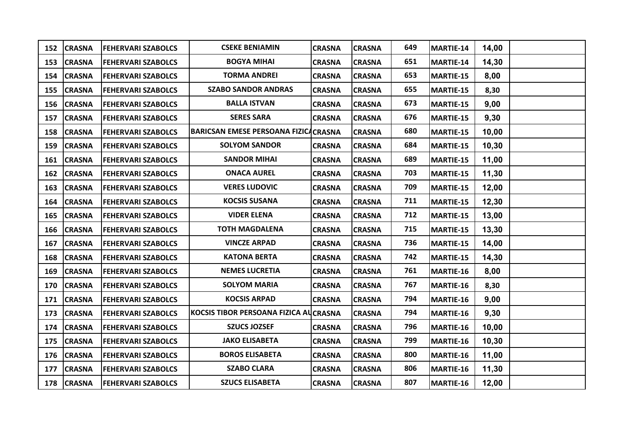|     | 152 CRASNA    | <b>FEHERVARI SZABOLCS</b> | <b>CSEKE BENIAMIN</b>                        | <b>CRASNA</b> | <b>CRASNA</b> | 649 | MARTIE-14 | 14,00 |  |
|-----|---------------|---------------------------|----------------------------------------------|---------------|---------------|-----|-----------|-------|--|
|     | 153 CRASNA    | <b>FEHERVARI SZABOLCS</b> | <b>BOGYA MIHAI</b>                           | <b>CRASNA</b> | <b>CRASNA</b> | 651 | MARTIE-14 | 14,30 |  |
|     | 154 CRASNA    | <b>FEHERVARI SZABOLCS</b> | <b>TORMA ANDREI</b>                          | <b>CRASNA</b> | <b>CRASNA</b> | 653 | MARTIE-15 | 8,00  |  |
|     | 155 CRASNA    | <b>FEHERVARI SZABOLCS</b> | <b>SZABO SANDOR ANDRAS</b>                   | <b>CRASNA</b> | <b>CRASNA</b> | 655 | MARTIE-15 | 8,30  |  |
|     | 156 CRASNA    | <b>FEHERVARI SZABOLCS</b> | <b>BALLA ISTVAN</b>                          | <b>CRASNA</b> | <b>CRASNA</b> | 673 | MARTIE-15 | 9,00  |  |
| 157 | <b>CRASNA</b> | <b>FEHERVARI SZABOLCS</b> | <b>SERES SARA</b>                            | <b>CRASNA</b> | <b>CRASNA</b> | 676 | MARTIE-15 | 9,30  |  |
| 158 | <b>CRASNA</b> | <b>FEHERVARI SZABOLCS</b> | <b>BARICSAN EMESE PERSOANA FIZICA CRASNA</b> |               | <b>CRASNA</b> | 680 | MARTIE-15 | 10,00 |  |
| 159 | <b>CRASNA</b> | <b>FEHERVARI SZABOLCS</b> | <b>SOLYOM SANDOR</b>                         | <b>CRASNA</b> | <b>CRASNA</b> | 684 | MARTIE-15 | 10,30 |  |
|     | 161 CRASNA    | <b>FEHERVARI SZABOLCS</b> | <b>SANDOR MIHAI</b>                          | <b>CRASNA</b> | <b>CRASNA</b> | 689 | MARTIE-15 | 11,00 |  |
| 162 | <b>CRASNA</b> | <b>FEHERVARI SZABOLCS</b> | <b>ONACA AUREL</b>                           | <b>CRASNA</b> | <b>CRASNA</b> | 703 | MARTIE-15 | 11,30 |  |
| 163 | <b>CRASNA</b> | <b>FEHERVARI SZABOLCS</b> | <b>VERES LUDOVIC</b>                         | <b>CRASNA</b> | <b>CRASNA</b> | 709 | MARTIE-15 | 12,00 |  |
| 164 | <b>CRASNA</b> | <b>FEHERVARI SZABOLCS</b> | <b>KOCSIS SUSANA</b>                         | <b>CRASNA</b> | <b>CRASNA</b> | 711 | MARTIE-15 | 12,30 |  |
| 165 | <b>CRASNA</b> | <b>FEHERVARI SZABOLCS</b> | <b>VIDER ELENA</b>                           | <b>CRASNA</b> | <b>CRASNA</b> | 712 | MARTIE-15 | 13,00 |  |
| 166 | <b>CRASNA</b> | <b>FEHERVARI SZABOLCS</b> | <b>TOTH MAGDALENA</b>                        | <b>CRASNA</b> | <b>CRASNA</b> | 715 | MARTIE-15 | 13,30 |  |
| 167 | <b>CRASNA</b> | <b>FEHERVARI SZABOLCS</b> | <b>VINCZE ARPAD</b>                          | <b>CRASNA</b> | <b>CRASNA</b> | 736 | MARTIE-15 | 14,00 |  |
| 168 | <b>CRASNA</b> | <b>FEHERVARI SZABOLCS</b> | <b>KATONA BERTA</b>                          | <b>CRASNA</b> | <b>CRASNA</b> | 742 | MARTIE-15 | 14,30 |  |
| 169 | <b>CRASNA</b> | <b>FEHERVARI SZABOLCS</b> | <b>NEMES LUCRETIA</b>                        | <b>CRASNA</b> | <b>CRASNA</b> | 761 | MARTIE-16 | 8,00  |  |
| 170 | <b>CRASNA</b> | <b>FEHERVARI SZABOLCS</b> | <b>SOLYOM MARIA</b>                          | <b>CRASNA</b> | <b>CRASNA</b> | 767 | MARTIE-16 | 8,30  |  |
| 171 | <b>CRASNA</b> | <b>FEHERVARI SZABOLCS</b> | <b>KOCSIS ARPAD</b>                          | <b>CRASNA</b> | <b>CRASNA</b> | 794 | MARTIE-16 | 9,00  |  |
| 173 | <b>CRASNA</b> | <b>FEHERVARI SZABOLCS</b> | KOCSIS TIBOR PERSOANA FIZICA AUCRASNA        |               | <b>CRASNA</b> | 794 | MARTIE-16 | 9,30  |  |
|     | 174 CRASNA    | <b>FEHERVARI SZABOLCS</b> | <b>SZUCS JOZSEF</b>                          | <b>CRASNA</b> | <b>CRASNA</b> | 796 | MARTIE-16 | 10,00 |  |
| 175 | <b>CRASNA</b> | <b>FEHERVARI SZABOLCS</b> | <b>JAKO ELISABETA</b>                        | <b>CRASNA</b> | <b>CRASNA</b> | 799 | MARTIE-16 | 10,30 |  |
|     | 176 CRASNA    | <b>FEHERVARI SZABOLCS</b> | <b>BOROS ELISABETA</b>                       | <b>CRASNA</b> | <b>CRASNA</b> | 800 | MARTIE-16 | 11,00 |  |
| 177 | <b>CRASNA</b> | <b>FEHERVARI SZABOLCS</b> | <b>SZABO CLARA</b>                           | <b>CRASNA</b> | <b>CRASNA</b> | 806 | MARTIE-16 | 11,30 |  |
|     | 178 CRASNA    | <b>FEHERVARI SZABOLCS</b> | <b>SZUCS ELISABETA</b>                       | <b>CRASNA</b> | <b>CRASNA</b> | 807 | MARTIE-16 | 12,00 |  |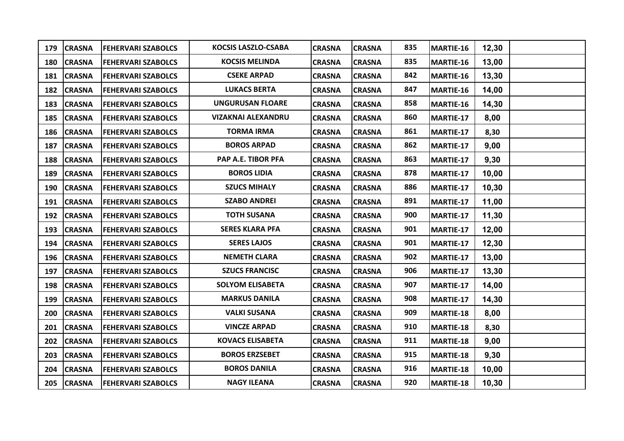| 179 | <b>CRASNA</b> | <b>FEHERVARI SZABOLCS</b> | <b>KOCSIS LASZLO-CSABA</b> | <b>CRASNA</b> | <b>CRASNA</b> | 835 | MARTIE-16 | 12,30 |  |
|-----|---------------|---------------------------|----------------------------|---------------|---------------|-----|-----------|-------|--|
| 180 | <b>CRASNA</b> | <b>FEHERVARI SZABOLCS</b> | <b>KOCSIS MELINDA</b>      | <b>CRASNA</b> | <b>CRASNA</b> | 835 | MARTIE-16 | 13,00 |  |
| 181 | <b>CRASNA</b> | <b>FEHERVARI SZABOLCS</b> | <b>CSEKE ARPAD</b>         | <b>CRASNA</b> | <b>CRASNA</b> | 842 | MARTIE-16 | 13,30 |  |
| 182 | <b>CRASNA</b> | <b>FEHERVARI SZABOLCS</b> | <b>LUKACS BERTA</b>        | <b>CRASNA</b> | <b>CRASNA</b> | 847 | MARTIE-16 | 14,00 |  |
| 183 | <b>CRASNA</b> | <b>FEHERVARI SZABOLCS</b> | <b>UNGURUSAN FLOARE</b>    | <b>CRASNA</b> | <b>CRASNA</b> | 858 | MARTIE-16 | 14,30 |  |
| 185 | <b>CRASNA</b> | <b>FEHERVARI SZABOLCS</b> | <b>VIZAKNAI ALEXANDRU</b>  | <b>CRASNA</b> | <b>CRASNA</b> | 860 | MARTIE-17 | 8,00  |  |
| 186 | <b>CRASNA</b> | <b>FEHERVARI SZABOLCS</b> | <b>TORMA IRMA</b>          | <b>CRASNA</b> | <b>CRASNA</b> | 861 | MARTIE-17 | 8,30  |  |
| 187 | <b>CRASNA</b> | <b>FEHERVARI SZABOLCS</b> | <b>BOROS ARPAD</b>         | <b>CRASNA</b> | <b>CRASNA</b> | 862 | MARTIE-17 | 9,00  |  |
| 188 | <b>CRASNA</b> | <b>FEHERVARI SZABOLCS</b> | PAP A.E. TIBOR PFA         | <b>CRASNA</b> | <b>CRASNA</b> | 863 | MARTIE-17 | 9,30  |  |
| 189 | <b>CRASNA</b> | <b>FEHERVARI SZABOLCS</b> | <b>BOROS LIDIA</b>         | <b>CRASNA</b> | <b>CRASNA</b> | 878 | MARTIE-17 | 10,00 |  |
| 190 | <b>CRASNA</b> | <b>FEHERVARI SZABOLCS</b> | <b>SZUCS MIHALY</b>        | <b>CRASNA</b> | <b>CRASNA</b> | 886 | MARTIE-17 | 10,30 |  |
| 191 | <b>CRASNA</b> | <b>FEHERVARI SZABOLCS</b> | <b>SZABO ANDREI</b>        | <b>CRASNA</b> | <b>CRASNA</b> | 891 | MARTIE-17 | 11,00 |  |
| 192 | <b>CRASNA</b> | <b>FEHERVARI SZABOLCS</b> | <b>TOTH SUSANA</b>         | <b>CRASNA</b> | <b>CRASNA</b> | 900 | MARTIE-17 | 11,30 |  |
| 193 | <b>CRASNA</b> | <b>FEHERVARI SZABOLCS</b> | <b>SERES KLARA PFA</b>     | <b>CRASNA</b> | <b>CRASNA</b> | 901 | MARTIE-17 | 12,00 |  |
| 194 | <b>CRASNA</b> | <b>FEHERVARI SZABOLCS</b> | <b>SERES LAJOS</b>         | <b>CRASNA</b> | <b>CRASNA</b> | 901 | MARTIE-17 | 12,30 |  |
| 196 | <b>CRASNA</b> | <b>FEHERVARI SZABOLCS</b> | <b>NEMETH CLARA</b>        | <b>CRASNA</b> | <b>CRASNA</b> | 902 | MARTIE-17 | 13,00 |  |
| 197 | <b>CRASNA</b> | <b>FEHERVARI SZABOLCS</b> | <b>SZUCS FRANCISC</b>      | <b>CRASNA</b> | <b>CRASNA</b> | 906 | MARTIE-17 | 13,30 |  |
| 198 | <b>CRASNA</b> | <b>FEHERVARI SZABOLCS</b> | <b>SOLYOM ELISABETA</b>    | <b>CRASNA</b> | <b>CRASNA</b> | 907 | MARTIE-17 | 14,00 |  |
| 199 | <b>CRASNA</b> | <b>FEHERVARI SZABOLCS</b> | <b>MARKUS DANILA</b>       | <b>CRASNA</b> | <b>CRASNA</b> | 908 | MARTIE-17 | 14,30 |  |
| 200 | <b>CRASNA</b> | <b>FEHERVARI SZABOLCS</b> | <b>VALKI SUSANA</b>        | <b>CRASNA</b> | <b>CRASNA</b> | 909 | MARTIE-18 | 8,00  |  |
| 201 | <b>CRASNA</b> | <b>FEHERVARI SZABOLCS</b> | <b>VINCZE ARPAD</b>        | <b>CRASNA</b> | <b>CRASNA</b> | 910 | MARTIE-18 | 8,30  |  |
| 202 | <b>CRASNA</b> | <b>FEHERVARI SZABOLCS</b> | <b>KOVACS ELISABETA</b>    | <b>CRASNA</b> | <b>CRASNA</b> | 911 | MARTIE-18 | 9,00  |  |
| 203 | <b>CRASNA</b> | <b>FEHERVARI SZABOLCS</b> | <b>BOROS ERZSEBET</b>      | <b>CRASNA</b> | <b>CRASNA</b> | 915 | MARTIE-18 | 9,30  |  |
| 204 | <b>CRASNA</b> | <b>FEHERVARI SZABOLCS</b> | <b>BOROS DANILA</b>        | <b>CRASNA</b> | <b>CRASNA</b> | 916 | MARTIE-18 | 10,00 |  |
|     | 205 CRASNA    | <b>FEHERVARI SZABOLCS</b> | <b>NAGY ILEANA</b>         | <b>CRASNA</b> | <b>CRASNA</b> | 920 | MARTIE-18 | 10,30 |  |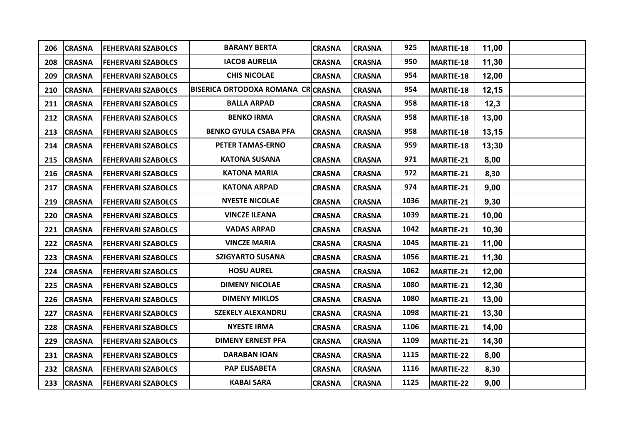| 206 | <b>CRASNA</b> | <b>FEHERVARI SZABOLCS</b> | <b>BARANY BERTA</b>               | <b>CRASNA</b> | <b>CRASNA</b> | 925  | MARTIE-18 | 11,00 |  |
|-----|---------------|---------------------------|-----------------------------------|---------------|---------------|------|-----------|-------|--|
| 208 | <b>CRASNA</b> | <b>FEHERVARI SZABOLCS</b> | <b>IACOB AURELIA</b>              | <b>CRASNA</b> | <b>CRASNA</b> | 950  | MARTIE-18 | 11,30 |  |
| 209 | <b>CRASNA</b> | <b>FEHERVARI SZABOLCS</b> | <b>CHIS NICOLAE</b>               | <b>CRASNA</b> | <b>CRASNA</b> | 954  | MARTIE-18 | 12,00 |  |
| 210 | <b>CRASNA</b> | <b>FEHERVARI SZABOLCS</b> | BISERICA ORTODOXA ROMANA CRCRASNA |               | <b>CRASNA</b> | 954  | MARTIE-18 | 12,15 |  |
| 211 | <b>CRASNA</b> | <b>FEHERVARI SZABOLCS</b> | <b>BALLA ARPAD</b>                | <b>CRASNA</b> | <b>CRASNA</b> | 958  | MARTIE-18 | 12,3  |  |
| 212 | <b>CRASNA</b> | <b>FEHERVARI SZABOLCS</b> | <b>BENKO IRMA</b>                 | <b>CRASNA</b> | <b>CRASNA</b> | 958  | MARTIE-18 | 13,00 |  |
| 213 | <b>CRASNA</b> | <b>FEHERVARI SZABOLCS</b> | <b>BENKO GYULA CSABA PFA</b>      | <b>CRASNA</b> | <b>CRASNA</b> | 958  | MARTIE-18 | 13,15 |  |
| 214 | <b>CRASNA</b> | <b>FEHERVARI SZABOLCS</b> | PETER TAMAS-ERNO                  | <b>CRASNA</b> | <b>CRASNA</b> | 959  | MARTIE-18 | 13;30 |  |
| 215 | <b>CRASNA</b> | <b>FEHERVARI SZABOLCS</b> | <b>KATONA SUSANA</b>              | <b>CRASNA</b> | <b>CRASNA</b> | 971  | MARTIE-21 | 8,00  |  |
| 216 | <b>CRASNA</b> | <b>FEHERVARI SZABOLCS</b> | <b>KATONA MARIA</b>               | <b>CRASNA</b> | <b>CRASNA</b> | 972  | MARTIE-21 | 8,30  |  |
| 217 | <b>CRASNA</b> | <b>FEHERVARI SZABOLCS</b> | <b>KATONA ARPAD</b>               | <b>CRASNA</b> | <b>CRASNA</b> | 974  | MARTIE-21 | 9,00  |  |
| 219 | <b>CRASNA</b> | <b>FEHERVARI SZABOLCS</b> | <b>NYESTE NICOLAE</b>             | <b>CRASNA</b> | <b>CRASNA</b> | 1036 | MARTIE-21 | 9,30  |  |
| 220 | <b>CRASNA</b> | <b>FEHERVARI SZABOLCS</b> | <b>VINCZE ILEANA</b>              | <b>CRASNA</b> | <b>CRASNA</b> | 1039 | MARTIE-21 | 10,00 |  |
| 221 | <b>CRASNA</b> | <b>FEHERVARI SZABOLCS</b> | <b>VADAS ARPAD</b>                | <b>CRASNA</b> | <b>CRASNA</b> | 1042 | MARTIE-21 | 10,30 |  |
| 222 | <b>CRASNA</b> | <b>FEHERVARI SZABOLCS</b> | <b>VINCZE MARIA</b>               | <b>CRASNA</b> | <b>CRASNA</b> | 1045 | MARTIE-21 | 11,00 |  |
| 223 | <b>CRASNA</b> | <b>FEHERVARI SZABOLCS</b> | <b>SZIGYARTO SUSANA</b>           | <b>CRASNA</b> | <b>CRASNA</b> | 1056 | MARTIE-21 | 11,30 |  |
| 224 | <b>CRASNA</b> | <b>FEHERVARI SZABOLCS</b> | <b>HOSU AUREL</b>                 | <b>CRASNA</b> | <b>CRASNA</b> | 1062 | MARTIE-21 | 12,00 |  |
| 225 | <b>CRASNA</b> | <b>FEHERVARI SZABOLCS</b> | <b>DIMENY NICOLAE</b>             | <b>CRASNA</b> | <b>CRASNA</b> | 1080 | MARTIE-21 | 12,30 |  |
| 226 | <b>CRASNA</b> | <b>FEHERVARI SZABOLCS</b> | <b>DIMENY MIKLOS</b>              | <b>CRASNA</b> | <b>CRASNA</b> | 1080 | MARTIE-21 | 13,00 |  |
| 227 | <b>CRASNA</b> | <b>FEHERVARI SZABOLCS</b> | <b>SZEKELY ALEXANDRU</b>          | <b>CRASNA</b> | <b>CRASNA</b> | 1098 | MARTIE-21 | 13,30 |  |
| 228 | <b>CRASNA</b> | <b>FEHERVARI SZABOLCS</b> | <b>NYESTE IRMA</b>                | <b>CRASNA</b> | <b>CRASNA</b> | 1106 | MARTIE-21 | 14,00 |  |
| 229 | <b>CRASNA</b> | <b>FEHERVARI SZABOLCS</b> | <b>DIMENY ERNEST PFA</b>          | <b>CRASNA</b> | <b>CRASNA</b> | 1109 | MARTIE-21 | 14,30 |  |
| 231 | <b>CRASNA</b> | <b>FEHERVARI SZABOLCS</b> | <b>DARABAN IOAN</b>               | <b>CRASNA</b> | <b>CRASNA</b> | 1115 | MARTIE-22 | 8,00  |  |
| 232 | <b>CRASNA</b> | <b>FEHERVARI SZABOLCS</b> | <b>PAP ELISABETA</b>              | <b>CRASNA</b> | <b>CRASNA</b> | 1116 | MARTIE-22 | 8,30  |  |
|     | 233 CRASNA    | <b>FEHERVARI SZABOLCS</b> | <b>KABAI SARA</b>                 | <b>CRASNA</b> | <b>CRASNA</b> | 1125 | MARTIE-22 | 9,00  |  |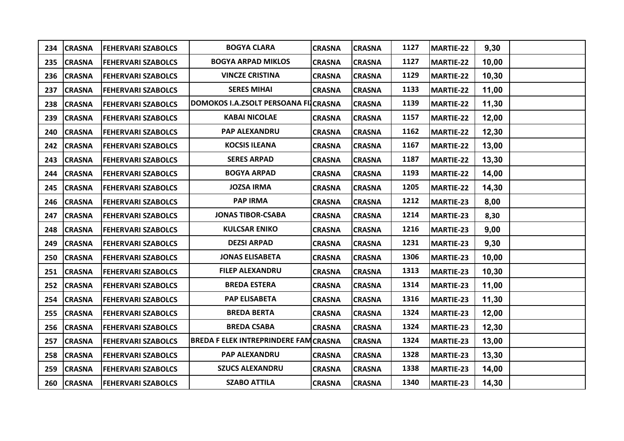|     | 234 CRASNA    | <b>FEHERVARI SZABOLCS</b> | <b>BOGYA CLARA</b>                          | <b>CRASNA</b> | <b>CRASNA</b> | 1127 | <b>MARTIE-22</b> | 9,30  |  |
|-----|---------------|---------------------------|---------------------------------------------|---------------|---------------|------|------------------|-------|--|
|     | 235 CRASNA    | <b>FEHERVARI SZABOLCS</b> | <b>BOGYA ARPAD MIKLOS</b>                   | <b>CRASNA</b> | <b>CRASNA</b> | 1127 | <b>MARTIE-22</b> | 10,00 |  |
| 236 | <b>CRASNA</b> | <b>FEHERVARI SZABOLCS</b> | <b>VINCZE CRISTINA</b>                      | <b>CRASNA</b> | <b>CRASNA</b> | 1129 | <b>MARTIE-22</b> | 10,30 |  |
| 237 | <b>CRASNA</b> | <b>FEHERVARI SZABOLCS</b> | <b>SERES MIHAI</b>                          | <b>CRASNA</b> | <b>CRASNA</b> | 1133 | <b>MARTIE-22</b> | 11,00 |  |
| 238 | <b>CRASNA</b> | <b>FEHERVARI SZABOLCS</b> | DOMOKOS I.A.ZSOLT PERSOANA FIJCRASNA        |               | <b>CRASNA</b> | 1139 | <b>MARTIE-22</b> | 11,30 |  |
| 239 | <b>CRASNA</b> | <b>FEHERVARI SZABOLCS</b> | <b>KABAI NICOLAE</b>                        | <b>CRASNA</b> | <b>CRASNA</b> | 1157 | <b>MARTIE-22</b> | 12,00 |  |
| 240 | <b>CRASNA</b> | <b>FEHERVARI SZABOLCS</b> | PAP ALEXANDRU                               | <b>CRASNA</b> | <b>CRASNA</b> | 1162 | <b>MARTIE-22</b> | 12,30 |  |
| 242 | <b>CRASNA</b> | <b>FEHERVARI SZABOLCS</b> | <b>KOCSIS ILEANA</b>                        | <b>CRASNA</b> | <b>CRASNA</b> | 1167 | <b>MARTIE-22</b> | 13,00 |  |
|     | 243 CRASNA    | <b>FEHERVARI SZABOLCS</b> | <b>SERES ARPAD</b>                          | <b>CRASNA</b> | <b>CRASNA</b> | 1187 | <b>MARTIE-22</b> | 13,30 |  |
|     | 244 CRASNA    | <b>FEHERVARI SZABOLCS</b> | <b>BOGYA ARPAD</b>                          | <b>CRASNA</b> | <b>CRASNA</b> | 1193 | <b>MARTIE-22</b> | 14,00 |  |
| 245 | <b>CRASNA</b> | <b>FEHERVARI SZABOLCS</b> | <b>JOZSA IRMA</b>                           | <b>CRASNA</b> | <b>CRASNA</b> | 1205 | <b>MARTIE-22</b> | 14,30 |  |
| 246 | <b>CRASNA</b> | <b>FEHERVARI SZABOLCS</b> | <b>PAP IRMA</b>                             | <b>CRASNA</b> | <b>CRASNA</b> | 1212 | MARTIE-23        | 8,00  |  |
| 247 | <b>CRASNA</b> | <b>FEHERVARI SZABOLCS</b> | <b>JONAS TIBOR-CSABA</b>                    | <b>CRASNA</b> | <b>CRASNA</b> | 1214 | MARTIE-23        | 8,30  |  |
| 248 | <b>CRASNA</b> | <b>FEHERVARI SZABOLCS</b> | <b>KULCSAR ENIKO</b>                        | <b>CRASNA</b> | <b>CRASNA</b> | 1216 | MARTIE-23        | 9,00  |  |
| 249 | <b>CRASNA</b> | <b>FEHERVARI SZABOLCS</b> | <b>DEZSI ARPAD</b>                          | <b>CRASNA</b> | <b>CRASNA</b> | 1231 | MARTIE-23        | 9,30  |  |
| 250 | <b>CRASNA</b> | <b>FEHERVARI SZABOLCS</b> | <b>JONAS ELISABETA</b>                      | <b>CRASNA</b> | <b>CRASNA</b> | 1306 | MARTIE-23        | 10,00 |  |
| 251 | <b>CRASNA</b> | <b>FEHERVARI SZABOLCS</b> | <b>FILEP ALEXANDRU</b>                      | <b>CRASNA</b> | <b>CRASNA</b> | 1313 | MARTIE-23        | 10,30 |  |
| 252 | <b>CRASNA</b> | <b>FEHERVARI SZABOLCS</b> | <b>BREDA ESTERA</b>                         | <b>CRASNA</b> | <b>CRASNA</b> | 1314 | MARTIE-23        | 11,00 |  |
| 254 | <b>CRASNA</b> | <b>FEHERVARI SZABOLCS</b> | <b>PAP ELISABETA</b>                        | <b>CRASNA</b> | <b>CRASNA</b> | 1316 | MARTIE-23        | 11,30 |  |
| 255 | <b>CRASNA</b> | <b>FEHERVARI SZABOLCS</b> | <b>BREDA BERTA</b>                          | <b>CRASNA</b> | <b>CRASNA</b> | 1324 | MARTIE-23        | 12,00 |  |
|     | 256 CRASNA    | <b>FEHERVARI SZABOLCS</b> | <b>BREDA CSABA</b>                          | <b>CRASNA</b> | <b>CRASNA</b> | 1324 | MARTIE-23        | 12,30 |  |
| 257 | <b>CRASNA</b> | <b>FEHERVARI SZABOLCS</b> | <b>BREDA F ELEK INTREPRINDERE FAMCRASNA</b> |               | <b>CRASNA</b> | 1324 | MARTIE-23        | 13,00 |  |
| 258 | <b>CRASNA</b> | <b>FEHERVARI SZABOLCS</b> | PAP ALEXANDRU                               | <b>CRASNA</b> | <b>CRASNA</b> | 1328 | <b>MARTIE-23</b> | 13,30 |  |
| 259 | <b>CRASNA</b> | <b>FEHERVARI SZABOLCS</b> | <b>SZUCS ALEXANDRU</b>                      | <b>CRASNA</b> | <b>CRASNA</b> | 1338 | MARTIE-23        | 14,00 |  |
|     | 260 CRASNA    | <b>FEHERVARI SZABOLCS</b> | <b>SZABO ATTILA</b>                         | <b>CRASNA</b> | <b>CRASNA</b> | 1340 | MARTIE-23        | 14,30 |  |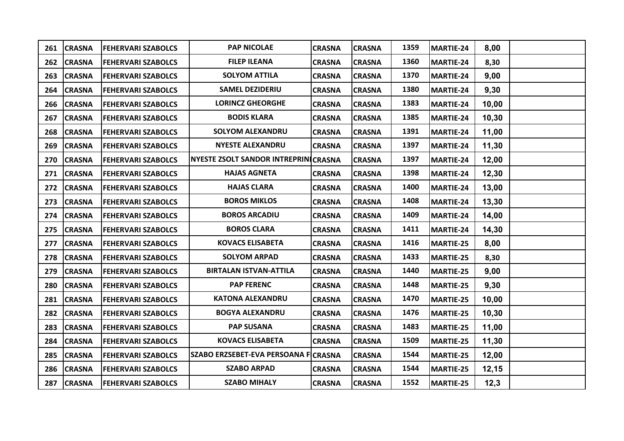| 261 | <b>CRASNA</b> | <b>FEHERVARI SZABOLCS</b> | <b>PAP NICOLAE</b>                   | <b>CRASNA</b> | <b>CRASNA</b> | 1359 | MARTIE-24 | 8,00  |  |
|-----|---------------|---------------------------|--------------------------------------|---------------|---------------|------|-----------|-------|--|
| 262 | <b>CRASNA</b> | <b>FEHERVARI SZABOLCS</b> | <b>FILEP ILEANA</b>                  | <b>CRASNA</b> | <b>CRASNA</b> | 1360 | MARTIE-24 | 8,30  |  |
| 263 | <b>CRASNA</b> | <b>FEHERVARI SZABOLCS</b> | <b>SOLYOM ATTILA</b>                 | <b>CRASNA</b> | <b>CRASNA</b> | 1370 | MARTIE-24 | 9,00  |  |
| 264 | <b>CRASNA</b> | <b>FEHERVARI SZABOLCS</b> | <b>SAMEL DEZIDERIU</b>               | <b>CRASNA</b> | <b>CRASNA</b> | 1380 | MARTIE-24 | 9,30  |  |
| 266 | <b>CRASNA</b> | <b>FEHERVARI SZABOLCS</b> | <b>LORINCZ GHEORGHE</b>              | <b>CRASNA</b> | <b>CRASNA</b> | 1383 | MARTIE-24 | 10,00 |  |
| 267 | <b>CRASNA</b> | <b>FEHERVARI SZABOLCS</b> | <b>BODIS KLARA</b>                   | <b>CRASNA</b> | <b>CRASNA</b> | 1385 | MARTIE-24 | 10,30 |  |
| 268 | <b>CRASNA</b> | <b>FEHERVARI SZABOLCS</b> | <b>SOLYOM ALEXANDRU</b>              | <b>CRASNA</b> | <b>CRASNA</b> | 1391 | MARTIE-24 | 11,00 |  |
| 269 | <b>CRASNA</b> | <b>FEHERVARI SZABOLCS</b> | <b>NYESTE ALEXANDRU</b>              | <b>CRASNA</b> | <b>CRASNA</b> | 1397 | MARTIE-24 | 11,30 |  |
| 270 | <b>CRASNA</b> | <b>FEHERVARI SZABOLCS</b> | NYESTE ZSOLT SANDOR INTREPRINICRASNA |               | <b>CRASNA</b> | 1397 | MARTIE-24 | 12,00 |  |
| 271 | <b>CRASNA</b> | <b>FEHERVARI SZABOLCS</b> | <b>HAJAS AGNETA</b>                  | <b>CRASNA</b> | <b>CRASNA</b> | 1398 | MARTIE-24 | 12,30 |  |
| 272 | <b>CRASNA</b> | <b>FEHERVARI SZABOLCS</b> | <b>HAJAS CLARA</b>                   | <b>CRASNA</b> | <b>CRASNA</b> | 1400 | MARTIE-24 | 13,00 |  |
| 273 | <b>CRASNA</b> | <b>FEHERVARI SZABOLCS</b> | <b>BOROS MIKLOS</b>                  | <b>CRASNA</b> | <b>CRASNA</b> | 1408 | MARTIE-24 | 13,30 |  |
| 274 | <b>CRASNA</b> | <b>FEHERVARI SZABOLCS</b> | <b>BOROS ARCADIU</b>                 | <b>CRASNA</b> | <b>CRASNA</b> | 1409 | MARTIE-24 | 14,00 |  |
| 275 | <b>CRASNA</b> | <b>FEHERVARI SZABOLCS</b> | <b>BOROS CLARA</b>                   | <b>CRASNA</b> | <b>CRASNA</b> | 1411 | MARTIE-24 | 14,30 |  |
| 277 | <b>CRASNA</b> | <b>FEHERVARI SZABOLCS</b> | <b>KOVACS ELISABETA</b>              | <b>CRASNA</b> | <b>CRASNA</b> | 1416 | MARTIE-25 | 8,00  |  |
| 278 | <b>CRASNA</b> | <b>FEHERVARI SZABOLCS</b> | <b>SOLYOM ARPAD</b>                  | <b>CRASNA</b> | <b>CRASNA</b> | 1433 | MARTIE-25 | 8,30  |  |
| 279 | <b>CRASNA</b> | <b>FEHERVARI SZABOLCS</b> | <b>BIRTALAN ISTVAN-ATTILA</b>        | <b>CRASNA</b> | <b>CRASNA</b> | 1440 | MARTIE-25 | 9,00  |  |
| 280 | <b>CRASNA</b> | <b>FEHERVARI SZABOLCS</b> | <b>PAP FERENC</b>                    | <b>CRASNA</b> | <b>CRASNA</b> | 1448 | MARTIE-25 | 9,30  |  |
| 281 | <b>CRASNA</b> | <b>FEHERVARI SZABOLCS</b> | <b>KATONA ALEXANDRU</b>              | <b>CRASNA</b> | <b>CRASNA</b> | 1470 | MARTIE-25 | 10,00 |  |
| 282 | <b>CRASNA</b> | <b>FEHERVARI SZABOLCS</b> | <b>BOGYA ALEXANDRU</b>               | <b>CRASNA</b> | <b>CRASNA</b> | 1476 | MARTIE-25 | 10,30 |  |
| 283 | <b>CRASNA</b> | <b>FEHERVARI SZABOLCS</b> | <b>PAP SUSANA</b>                    | <b>CRASNA</b> | <b>CRASNA</b> | 1483 | MARTIE-25 | 11,00 |  |
| 284 | <b>CRASNA</b> | <b>FEHERVARI SZABOLCS</b> | <b>KOVACS ELISABETA</b>              | <b>CRASNA</b> | <b>CRASNA</b> | 1509 | MARTIE-25 | 11,30 |  |
| 285 | <b>CRASNA</b> | <b>FEHERVARI SZABOLCS</b> | SZABO ERZSEBET-EVA PERSOANA F CRASNA |               | <b>CRASNA</b> | 1544 | MARTIE-25 | 12,00 |  |
| 286 | <b>CRASNA</b> | <b>FEHERVARI SZABOLCS</b> | <b>SZABO ARPAD</b>                   | <b>CRASNA</b> | <b>CRASNA</b> | 1544 | MARTIE-25 | 12,15 |  |
|     | 287 CRASNA    | <b>FEHERVARI SZABOLCS</b> | <b>SZABO MIHALY</b>                  | <b>CRASNA</b> | <b>CRASNA</b> | 1552 | MARTIE-25 | 12,3  |  |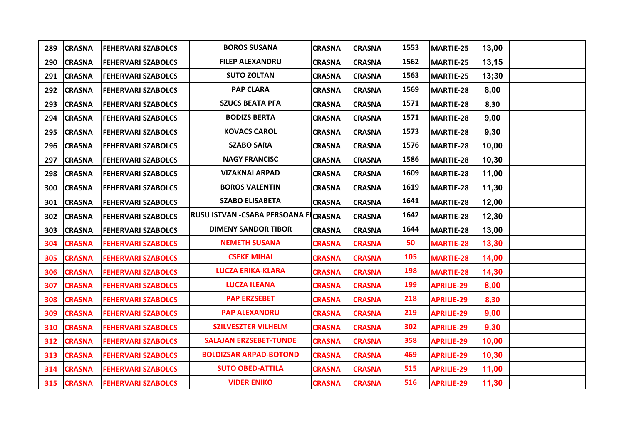| 289 | <b>CRASNA</b> | <b>FEHERVARI SZABOLCS</b> | <b>BOROS SUSANA</b>                         | <b>CRASNA</b> | <b>CRASNA</b> | 1553 | MARTIE-25         | 13,00 |  |
|-----|---------------|---------------------------|---------------------------------------------|---------------|---------------|------|-------------------|-------|--|
| 290 | <b>CRASNA</b> | <b>FEHERVARI SZABOLCS</b> | <b>FILEP ALEXANDRU</b>                      | <b>CRASNA</b> | <b>CRASNA</b> | 1562 | MARTIE-25         | 13,15 |  |
|     | 291 CRASNA    | <b>FEHERVARI SZABOLCS</b> | <b>SUTO ZOLTAN</b>                          | <b>CRASNA</b> | <b>CRASNA</b> | 1563 | MARTIE-25         | 13;30 |  |
|     | 292 CRASNA    | <b>FEHERVARI SZABOLCS</b> | <b>PAP CLARA</b>                            | <b>CRASNA</b> | <b>CRASNA</b> | 1569 | <b>MARTIE-28</b>  | 8,00  |  |
|     | 293 CRASNA    | <b>FEHERVARI SZABOLCS</b> | <b>SZUCS BEATA PFA</b>                      | <b>CRASNA</b> | <b>CRASNA</b> | 1571 | MARTIE-28         | 8,30  |  |
|     | 294 CRASNA    | <b>FEHERVARI SZABOLCS</b> | <b>BODIZS BERTA</b>                         | <b>CRASNA</b> | <b>CRASNA</b> | 1571 | MARTIE-28         | 9,00  |  |
| 295 | <b>CRASNA</b> | <b>FEHERVARI SZABOLCS</b> | <b>KOVACS CAROL</b>                         | <b>CRASNA</b> | <b>CRASNA</b> | 1573 | MARTIE-28         | 9,30  |  |
| 296 | <b>CRASNA</b> | <b>FEHERVARI SZABOLCS</b> | <b>SZABO SARA</b>                           | <b>CRASNA</b> | <b>CRASNA</b> | 1576 | MARTIE-28         | 10,00 |  |
| 297 | <b>CRASNA</b> | <b>FEHERVARI SZABOLCS</b> | <b>NAGY FRANCISC</b>                        | <b>CRASNA</b> | <b>CRASNA</b> | 1586 | MARTIE-28         | 10,30 |  |
| 298 | <b>CRASNA</b> | <b>FEHERVARI SZABOLCS</b> | <b>VIZAKNAI ARPAD</b>                       | <b>CRASNA</b> | <b>CRASNA</b> | 1609 | MARTIE-28         | 11,00 |  |
| 300 | <b>CRASNA</b> | <b>FEHERVARI SZABOLCS</b> | <b>BOROS VALENTIN</b>                       | <b>CRASNA</b> | <b>CRASNA</b> | 1619 | MARTIE-28         | 11,30 |  |
|     | 301 CRASNA    | <b>FEHERVARI SZABOLCS</b> | <b>SZABO ELISABETA</b>                      | <b>CRASNA</b> | <b>CRASNA</b> | 1641 | MARTIE-28         | 12,00 |  |
|     | 302 CRASNA    | <b>FEHERVARI SZABOLCS</b> | <b>RUSU ISTVAN -CSABA PERSOANA FICRASNA</b> |               | <b>CRASNA</b> | 1642 | MARTIE-28         | 12,30 |  |
|     | 303 CRASNA    | <b>FEHERVARI SZABOLCS</b> | <b>DIMENY SANDOR TIBOR</b>                  | <b>CRASNA</b> | <b>CRASNA</b> | 1644 | MARTIE-28         | 13,00 |  |
| 304 | <b>CRASNA</b> | <b>FEHERVARI SZABOLCS</b> | <b>NEMETH SUSANA</b>                        | <b>CRASNA</b> | <b>CRASNA</b> | 50   | <b>MARTIE-28</b>  | 13,30 |  |
| 305 | <b>CRASNA</b> | <b>FEHERVARI SZABOLCS</b> | <b>CSEKE MIHAI</b>                          | <b>CRASNA</b> | <b>CRASNA</b> | 105  | <b>MARTIE-28</b>  | 14,00 |  |
| 306 | <b>CRASNA</b> | <b>FEHERVARI SZABOLCS</b> | <b>LUCZA ERIKA-KLARA</b>                    | <b>CRASNA</b> | <b>CRASNA</b> | 198  | <b>MARTIE-28</b>  | 14,30 |  |
| 307 | <b>CRASNA</b> | <b>FEHERVARI SZABOLCS</b> | <b>LUCZA ILEANA</b>                         | <b>CRASNA</b> | <b>CRASNA</b> | 199  | <b>APRILIE-29</b> | 8,00  |  |
| 308 | <b>CRASNA</b> | <b>FEHERVARI SZABOLCS</b> | <b>PAP ERZSEBET</b>                         | <b>CRASNA</b> | <b>CRASNA</b> | 218  | <b>APRILIE-29</b> | 8,30  |  |
| 309 | <b>CRASNA</b> | <b>FEHERVARI SZABOLCS</b> | <b>PAP ALEXANDRU</b>                        | <b>CRASNA</b> | <b>CRASNA</b> | 219  | <b>APRILIE-29</b> | 9,00  |  |
| 310 | <b>CRASNA</b> | <b>FEHERVARI SZABOLCS</b> | <b>SZILVESZTER VILHELM</b>                  | <b>CRASNA</b> | <b>CRASNA</b> | 302  | <b>APRILIE-29</b> | 9,30  |  |
| 312 | <b>CRASNA</b> | <b>FEHERVARI SZABOLCS</b> | <b>SALAJAN ERZSEBET-TUNDE</b>               | <b>CRASNA</b> | <b>CRASNA</b> | 358  | <b>APRILIE-29</b> | 10,00 |  |
|     | 313 CRASNA    | <b>FEHERVARI SZABOLCS</b> | <b>BOLDIZSAR ARPAD-BOTOND</b>               | <b>CRASNA</b> | <b>CRASNA</b> | 469  | <b>APRILIE-29</b> | 10,30 |  |
|     | 314 CRASNA    | <b>FEHERVARI SZABOLCS</b> | <b>SUTO OBED-ATTILA</b>                     | <b>CRASNA</b> | <b>CRASNA</b> | 515  | <b>APRILIE-29</b> | 11,00 |  |
|     | 315 CRASNA    | <b>FEHERVARI SZABOLCS</b> | <b>VIDER ENIKO</b>                          | <b>CRASNA</b> | <b>CRASNA</b> | 516  | <b>APRILIE-29</b> | 11,30 |  |